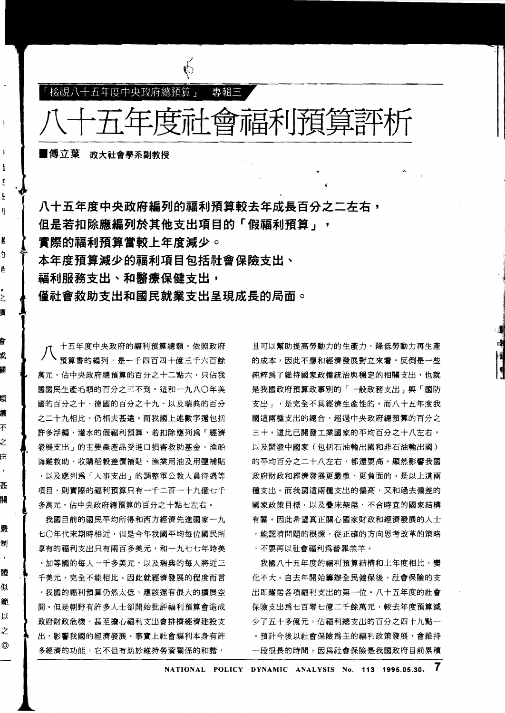

八十五年度中央政府編列的福利預算較去年成長百分之二左右, 但是若扣除應編列於其他支出項目的「假福利預算」, 實際的福利預算當較上年度減少。 本年度預算減少的福利項目包括社會保險支出丶 福利服務支出、和**醫療保健支出**, 僅社會救助支出和國民就業支出呈現成長的局面。

八 十五年度中央政府的福利預算總額,依照政府 預算書的編列,是一千四百四十億三千六百餘 萬元,佔中央政府總預算的百分之十二點六,只佔我 國國民生產毛額的百分之三不到。這和一九八〇年美 國的百分之十九、以及瑞典的百分 之二十九相比,仍相去甚遠。而我國上述數字還包括 許多浮編、灌水的假福利預算,若扣除應列為「經濟 發展支出」的主要農產品受進口損害救助基金、漁船 海難救助、收購稻穀差價補貼、漁業用油及用鹽補貼 ,以及應列爲「人事支出」的調整軍公教人員待遇等 項目,則實際的福利預算只有一千二百一十九億七千 多萬元,佔中央政府總預算的百分之十點七左右。

我國目前的國民平均所得和西方經濟先進國家一九 七〇年代末期時相近,但是今年我國平均每位國民所 享有的福利支出只有兩百多美元,和一九七七年時美 ·加等國的每人一千多美元,以及瑞典的每人將近三 千美元,完全不能相比。因此就經濟發展的程度而言 ,我國的福利預算仍然太低,應該還有很大的擴展空 聞。但是朝野有許多人士卻開始批評福利預算會造成 政府財政危機,甚至擔心福利支出會排擠經濟建設支 出,影響我國的經濟發展。事實上社會福利本身有許 多經濟的功能,它不但有助於維持勞資關係的和諧,

•

@

且可以幫助提高勞動力的生產力,降低勞動力再生產 的成本,因此不應和經濟發展對立來看。反倒是一些 純粹為了維持國家政權統治與穩定的相關支出,也就 是我國政府預算政事別的「一般政務支出」與「國防 支出」,是完全不具經濟生產性的。而八十五年度我 國這兩種支出的總合,超過中央政府總預算的百分之 三十。這比已開發工業國家的平均百分之十八左右, 以及開發中國家(包括石油輸出國和非石油輸出國) 的平均百分之二十八左右,都還要高。顯然影響我國 政府財政和經濟發展更嚴重、更負面的,是以上這兩 種支出。而我國這兩種支出的偏高,又和過去偏差的 國家政策目標,以及疊床架屋、不合時宜的國家結構 有關。因此希望真正關心國家財政和經濟發展的人士 ,能認清問題的根源,從正確的方向思考改革的策略 ,不要再以社會福利為替罪羔羊。

,j

我國八十五年度的福利預算結構和上年度相比,變 化不大。自去年開始籌辦全民健保後,社會保險的支 出即躍居各項福利支出的第一位。八十五年度的社會 保險支出爲七百零七億二千餘萬元,較去年度預算減 少了五十多億元,佔福利總支出的百分之四十九點一 · 預計今後以社會保險為主的福利政策發展,會維持 一段很長的時間,因為社會保險是我國政府目前累積